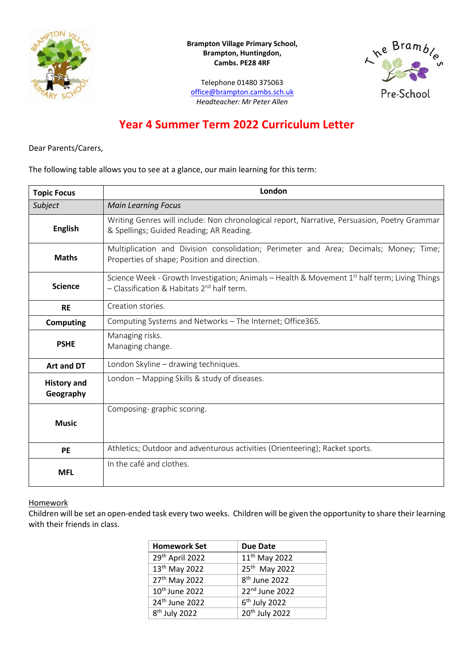

**Brampton Village Primary School, Brampton, Huntingdon, Cambs. PE28 4RF**

ne Bramble Pre-School

Telephone 01480 375063 [office@brampton.cambs.sch.uk](mailto:office@brampton.cambs.sch.uk) *Headteacher: Mr Peter Allen*

# **Year 4 Summer Term 2022 Curriculum Letter**

Dear Parents/Carers,

The following table allows you to see at a glance, our main learning for this term:

| <b>Topic Focus</b>              | London                                                                                                                                             |
|---------------------------------|----------------------------------------------------------------------------------------------------------------------------------------------------|
| Subject                         | <b>Main Learning Focus</b>                                                                                                                         |
| <b>English</b>                  | Writing Genres will include: Non chronological report, Narrative, Persuasion, Poetry Grammar<br>& Spellings; Guided Reading; AR Reading.           |
| <b>Maths</b>                    | Multiplication and Division consolidation; Perimeter and Area; Decimals; Money; Time;<br>Properties of shape; Position and direction.              |
| <b>Science</b>                  | Science Week - Growth Investigation; Animals – Health & Movement $1st$ half term; Living Things<br>- Classification & Habitats $2^{nd}$ half term. |
| <b>RE</b>                       | Creation stories.                                                                                                                                  |
| <b>Computing</b>                | Computing Systems and Networks - The Internet; Office365.                                                                                          |
| <b>PSHE</b>                     | Managing risks.<br>Managing change.                                                                                                                |
| Art and DT                      | London Skyline - drawing techniques.                                                                                                               |
| <b>History and</b><br>Geography | London - Mapping Skills & study of diseases.                                                                                                       |
| <b>Music</b>                    | Composing-graphic scoring.                                                                                                                         |
| <b>PE</b>                       | Athletics; Outdoor and adventurous activities (Orienteering); Racket sports.                                                                       |
| <b>MFL</b>                      | In the café and clothes.                                                                                                                           |

## **Homework**

Children will be set an open-ended task every two weeks. Children will be given the opportunity to share their learning with their friends in class.

| <b>Homework Set</b>        | <b>Due Date</b>            |
|----------------------------|----------------------------|
| 29th April 2022            | 11 <sup>th</sup> May 2022  |
| 13 <sup>th</sup> May 2022  | 25 <sup>th</sup> May 2022  |
| 27 <sup>th</sup> May 2022  | 8 <sup>th</sup> June 2022  |
| 10 <sup>th</sup> June 2022 | 22 <sup>nd</sup> June 2022 |
| 24 <sup>th</sup> June 2022 | $6th$ July 2022            |
| 8 <sup>th</sup> July 2022  | 20 <sup>th</sup> July 2022 |
|                            |                            |